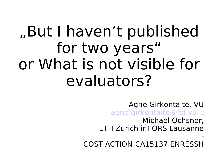## "But I haven't published for two years" or What is not visible for evaluators?

Agnė Girkontaitė, VU [agne.girkontaite@fsf.vu.lt](mailto:agne.girkontaite@fsf.vu.lt) Michael Ochsner, ETH Zurich ir FORS Lausanne -

COST ACTION CA15137 ENRESSH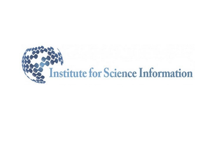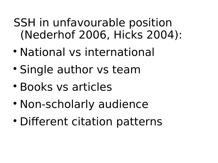### SSH in unfavourable position (Nederhof 2006, Hicks 2004):

- National vs international
- Single author vs team
- Books vs articles
- Non-scholarly audience
- Different citation patterns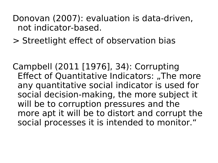#### Donovan (2007): evaluation is data-driven, not indicator-based.

> Streetlight effect of observation bias

Campbell (2011 [1976], 34): Corrupting Effect of Quantitative Indicators: "The more any quantitative social indicator is used for social decision-making, the more subject it will be to corruption pressures and the more apt it will be to distort and corrupt the social processes it is intended to monitor."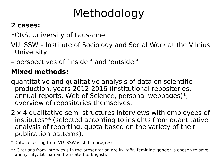### Methodology

#### **2 cases:**

FORS, University of Lausanne

- VU ISSW Institute of Sociology and Social Work at the Vilnius **University**
- perspectives of 'insider' and 'outsider'

#### **Mixed methods:**

quantitative and qualitative analysis of data on scientific production, years 2012-2016 (institutional repositories, annual reports, Web of Science, personal webpages)\*, overview of repositories themselves,

- 2 x 4 qualitative semi-structures interviews with employees of institutes\*\* (selected according to insights from quantitative analysis of reporting, quota based on the variety of their publication patterns).
- \* Data collecting from VU ISSW is still in progress.
- \*\* Citations from interviews in the presentation are in *italic*; feminine gender is chosen to save anonymity; Lithuanian translated to English.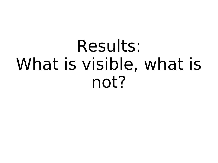## Results: What is visible, what is not?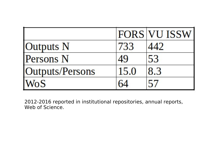|                  |      | <b>FORS VU ISSW</b> |
|------------------|------|---------------------|
| <b>Outputs N</b> | 733  | 442                 |
| <b>Persons N</b> | 49   | 53                  |
| Outputs/Persons  | 15.0 | 8.3                 |
| <b>WoS</b>       |      |                     |

2012-2016 reported in institutional repositories, annual reports, Web of Science.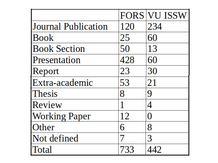|                            |     | <b>FORS VU ISSW</b> |
|----------------------------|-----|---------------------|
| <b>Journal Publication</b> | 120 | 234                 |
| <b>Book</b>                | 25  | 60                  |
| <b>Book Section</b>        | 50  | 13                  |
| Presentation               | 428 | 60                  |
| Report                     | 23  | 30                  |
| Extra-academic             | 53  | 21                  |
| <b>Thesis</b>              | 8   | 9                   |
| Review                     |     |                     |
| <b>Working Paper</b>       | 12  |                     |
| Other                      | 6   |                     |
| Not defined                |     |                     |
| Total                      | 733 |                     |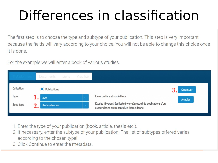## Differences in classification

The first step is to choose the type and subtype of your publication. This step is very important because the fields will vary according to your choice. You will not be able to change this choice once it is done

For the example we will enter a book of various studies.



- 1. Enter the type of your publication (book, article, thesis etc.).
- 2. If necessary, enter the subtype of your publication. The list of subtypes offered varies according to the chosen type!
- 3. Click Continue to enter the metadata.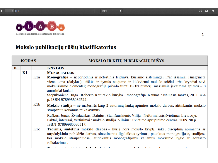$\mathbf{1}$ 



Mokslo publikacijų rūšių klasifikatorius

| <b>KODAS</b> |    |     | MOKSLO IR KITŲ PUBLIKACIJŲ RŪŠYS                                                                                                                                                                                                                                                                                                                                                                                                                      |  |
|--------------|----|-----|-------------------------------------------------------------------------------------------------------------------------------------------------------------------------------------------------------------------------------------------------------------------------------------------------------------------------------------------------------------------------------------------------------------------------------------------------------|--|
| $\bf{K}$     |    |     | <b>KNYGOS</b>                                                                                                                                                                                                                                                                                                                                                                                                                                         |  |
|              | K1 |     | <b>MONOGRAFIJOS</b>                                                                                                                                                                                                                                                                                                                                                                                                                                   |  |
|              |    | K1a | Monografija – neperiodinis ir netęstinis leidinys, kuriame sistemingai ir/ar išsamiai išnagrinėta<br>viena tema (dalykas), aiškūs ir žymūs naujumo ir kiekvienai mokslo sričiai arba krypčiai savi<br>moksliškumo elementai; monografija privalo turėti ISBN numerį, mažiausia įskaitoma apimtis - 8<br>autoriniai lankai.<br>Stepukonienė, Inga. Roberto Keturakio kūryba: monografija. Kaunas: Naujasis lankas, 2011. 464<br>p. ISBN 9789955036722. |  |
|              |    | K1b | Mokslo studija – ne mažesnės kaip 2 autorinių lankų apimties mokslo darbas, atitinkantis mokslo<br>straipsniui keliamus reikalavimus.<br>Ruškus, Jonas; Žvirdauskas, Dainius; Stanišauskienė, Vilija. Neformalusis švietimas Lietuvoje.<br>Faktai, interesai, vertinimai : mokslo studija. Vilnius : Švietimo aprūpinimo centras, 2009. 90 p.<br>ISBN 97899986036517.                                                                                 |  |
|              |    | K1c | Teorinis, sintetinis mokslo darbas - kurią nors mokslo kryptį, šaką, discipliną apimantis ar<br>tarpdalykinio pobūdžio darbas, sintetinantis ilgalaikius tyrimus, pateiktus monografijose, studijose<br>bei mokslo straipsniuose, atitinkantis monografijoms keliamus mokslinio lygio ir adresato<br>reikalavimus.<br>machinist chronolitis control dentri fundo a característicamente solo distribución de conservar                                 |  |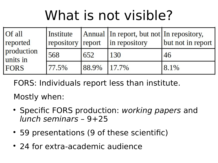## What is not visible?

| Of all<br>reported     | Institute |             | Annual In report, but not In repository,<br>repository report in repository | but not in report |
|------------------------|-----------|-------------|-----------------------------------------------------------------------------|-------------------|
| production<br>units in | 568       | 652         | 130                                                                         | 46                |
| <b>FORS</b>            | 77.5%     | 88.9% 17.7% |                                                                             | 8.1%              |

FORS: Individuals report less than institute. Mostly when:

- Specific FORS production: working papers and lunch seminars – 9+25
- 59 presentations (9 of these scientific)
- 24 for extra-academic audience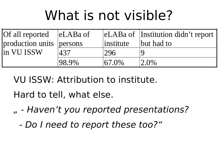## What is not visible?

| Of all reported eLABa of |       |           | eLABa of Institution didn't report |
|--------------------------|-------|-----------|------------------------------------|
| production units persons |       | institute | but had to                         |
| in VU ISSW               | 437   | 296       |                                    |
|                          | 98.9% | $67.0\%$  | $2.0\%$                            |

VU ISSW: Attribution to institute.

Hard to tell, what else.

" - Haven't you reported presentations?

- Do I need to report these too?"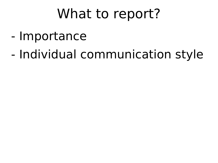## What to report?

- Importance
- Individual communication style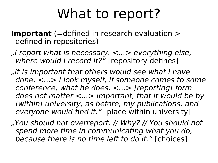## What to report?

**Important** (=defined in research evaluation > defined in repositories)

- "I report what is necessary. <...> everything else, where would I record it?" [repository defines]
- "It is important that others would see what I have, done. <...> I look myself, if someone comes to some conference, what he does. <...> [reporting] form does not matter <...> important, that it would be by [within] university, as before, my publications, and everyone would find it." [place within university]
- "You should not overreport. // Why? // You should not spend more time in communicating what you do, because there is no time left to do it." [choices]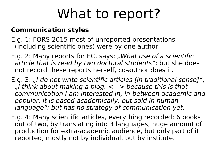## What to report?

#### **Communication styles**

- E.g. 1: FORS 2015 most of unreported presentations (including scientific ones) were by one author.
- E.g. 2: Many reports for EC, says: "What use of a scientific article that is read by two doctoral students"; but she does not record these reports herself, co-author does it.
- E.g. 3: "I do not write scientific articles [in traditional sense]", "I think about making a blog.  $\lt...$  because this is that communication I am interested in, in-between academic and popular, it is based academically, but said in human language"; but has no strategy of communication yet.
- E.g. 4: Many scientific articles, everything recorded; 6 books out of two, by translating into 3 languages; huge amount of production for extra-academic audience, but only part of it reported, mostly not by individual, but by institute.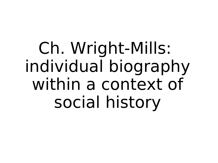Ch. Wright-Mills: individual biography within a context of social history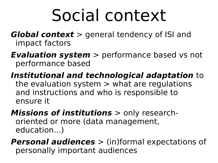# Social context

- **Global context** > general tendency of ISI and impact factors
- **Evaluation system** > performance based vs not performance based
- **Institutional and technological adaptation** to the evaluation system  $>$  what are regulations and instructions and who is responsible to ensure it
- **Missions of institutions** > only researchoriented or more (data management, education...)
- **Personal audiences** > (in)formal expectations of personally important audiences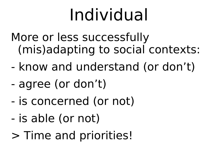# Individual

More or less successfully (mis)adapting to social contexts:

- know and understand (or don't)
- agree (or don't)
- is concerned (or not)
- is able (or not)
- > Time and priorities!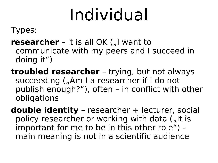# Individual

Types:

- **researcher** it is all OK (,,I want to communicate with my peers and I succeed in doing it")
- **troubled researcher** trying, but not always succeeding ("Am I a researcher if I do not publish enough?"), often – in conflict with other obligations
- **double identity** researcher + lecturer, social policy researcher or working with data ("It is important for me to be in this other role") main meaning is not in a scientific audience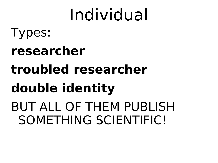# Individual

Types:

### **researcher**

### **troubled researcher**

## **double identity**

### BUT ALL OF THEM PUBLISH SOMETHING SCIENTIFIC!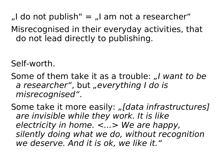", I do not publish"  $=$  "I am not a researcher" Misrecognised in their everyday activities, that do not lead directly to publishing.

Self-worth.

- Some of them take it as a trouble: "I want to be a researcher", but "everything I do is misrecognised".
- Some take it more easily: "*[data infrastructures]* are invisible while they work. It is like electricity in home. <...> We are happy, silently doing what we do, without recognition we deserve. And it is ok, we like it."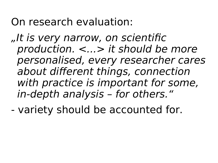### On research evaluation:

"It is very narrow, on scientific production. <...> it should be more personalised, every researcher cares about different things, connection with practice is important for some, in-depth analysis – for others."

- variety should be accounted for.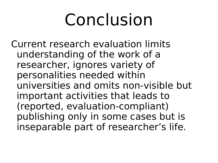## Conclusion

Current research evaluation limits understanding of the work of a researcher, ignores variety of personalities needed within universities and omits non-visible but important activities that leads to (reported, evaluation-compliant) publishing only in some cases but is inseparable part of researcher's life.